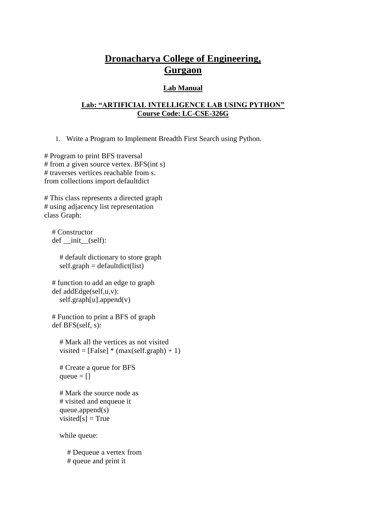# **Dronacharya College of Engineering, Gurgaon**

### **Lab Manual**

### **Lab: "ARTIFICIAL INTELLIGENCE LAB USING PYTHON" Course Code: LC-CSE-326G**

1. Write a Program to Implement Breadth First Search using Python.

# Program to print BFS traversal # from a given source vertex. BFS(int s) # traverses vertices reachable from s. from collections import defaultdict

# This class represents a directed graph # using adjacency list representation class Graph:

 # Constructor def init (self):

> # default dictionary to store graph  $self. graph = defaultdict(list)$

 # function to add an edge to graph def addEdge(self,u,v): self.graph[u].append(v)

 # Function to print a BFS of graph def BFS(self, s):

 # Mark all the vertices as not visited visited =  $[False]$  \*  $(max(self, graph) + 1)$ 

 # Create a queue for BFS queue  $=$   $\Box$ 

 # Mark the source node as # visited and enqueue it queue.append(s) visited[s] =  $True$ 

while queue:

 # Dequeue a vertex from # queue and print it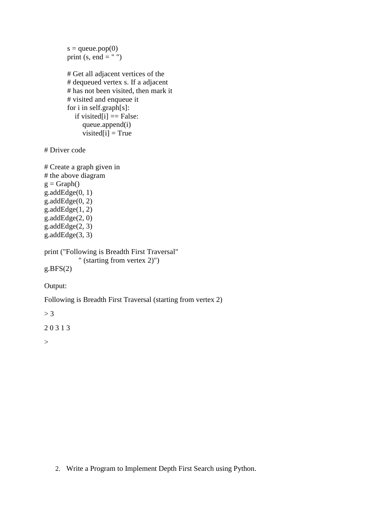```
s =queue.pop(0)print (s, end = "") # Get all adjacent vertices of the
        # dequeued vertex s. If a adjacent
        # has not been visited, then mark it
        # visited and enqueue it
        for i in self.graph[s]:
          if visited[i] == False:
             queue.append(i)
            visited[i] = True
# Driver code
# Create a graph given in
# the above diagram
g = Graph()g.addEdge(0, 1)g.addEdge(0, 2)g.addEdge(1, 2)g.addEdge(2, 0)g.addEdge(2, 3)g.addEdge(3, 3)
print ("Following is Breadth First Traversal"
            " (starting from vertex 2)")
g.BFS(2)Output: 
Following is Breadth First Traversal (starting from vertex 2)
```
 $> 3$ 

2 0 3 1 3

 $>$ 

2. Write a Program to Implement Depth First Search using Python.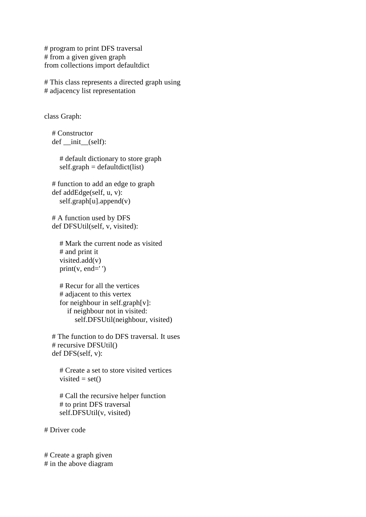# program to print DFS traversal # from a given given graph from collections import defaultdict

# This class represents a directed graph using # adjacency list representation

class Graph:

 # Constructor def \_\_init\_\_(self):

> # default dictionary to store graph  $self-graph = defaultdict(list)$

 # function to add an edge to graph def addEdge(self, u, v):  $self.graph[u].append(v)$ 

 # A function used by DFS def DFSUtil(self, v, visited):

```
 # Mark the current node as visited
 # and print it
 visited.add(v)
print(v, end='')
```
 # Recur for all the vertices # adjacent to this vertex for neighbour in self.graph[v]: if neighbour not in visited: self.DFSUtil(neighbour, visited)

 # The function to do DFS traversal. It uses # recursive DFSUtil() def DFS(self, v):

 # Create a set to store visited vertices visited  $=$  set()

 # Call the recursive helper function # to print DFS traversal self.DFSUtil(v, visited)

# Driver code

# Create a graph given # in the above diagram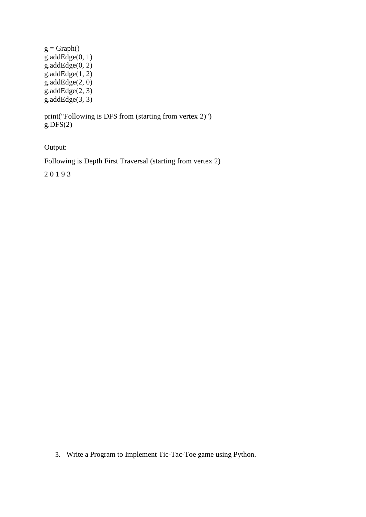$g = Graph()$  $g.addEdge(0, 1)$  $g.addEdge(0, 2)$ g.addEdge $(1, 2)$  $g.addEdge(2, 0)$  $g.addEdge(2, 3)$ g.addEdge $(3, 3)$ 

print("Following is DFS from (starting from vertex 2)")  $g.DFS(2)$ 

Output:

Following is Depth First Traversal (starting from vertex 2)

2 0 1 9 3

3. Write a Program to Implement Tic-Tac-Toe game using Python.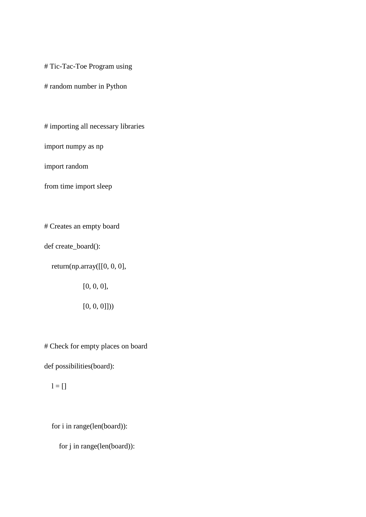# Tic-Tac-Toe Program using

# random number in Python

# importing all necessary libraries

import numpy as np

import random

from time import sleep

# Creates an empty board

def create\_board():

return(np.array([[0, 0, 0],

 $[0, 0, 0],$ 

 $[0, 0, 0$ ]))

# Check for empty places on board

def possibilities(board):

 $l = []$ 

for i in range(len(board)):

for j in range(len(board)):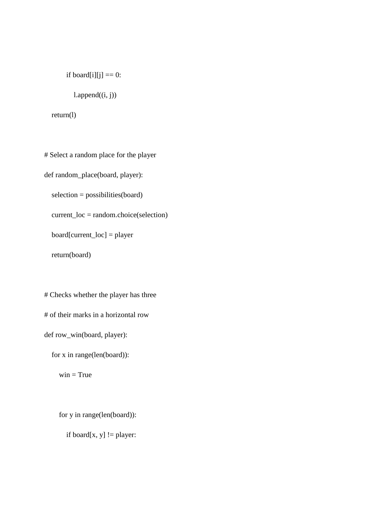if board[i][j]  $== 0$ :

 $l.append((i, j))$ 

return(l)

# Select a random place for the player def random\_place(board, player): selection = possibilities(board) current\_loc = random.choice(selection) board[current\_loc] = player

return(board)

# Checks whether the player has three # of their marks in a horizontal row def row\_win(board, player):

for x in range(len(board)):

 $win = True$ 

for y in range(len(board)):

if board $[x, y]$  != player: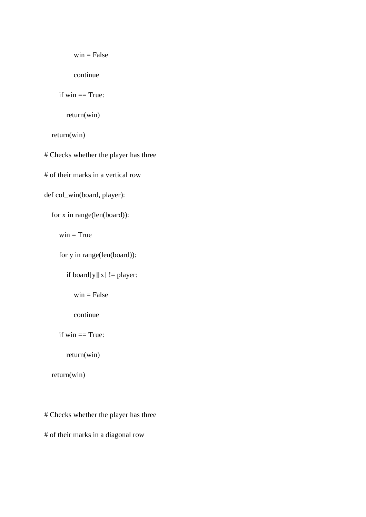```
win = False
```
continue

if  $win == True$ :

return(win)

return(win)

# Checks whether the player has three

# of their marks in a vertical row

def col\_win(board, player):

for x in range(len(board)):

 $\text{win} = \text{True}$ 

for y in range(len(board)):

```
if board[y][x] != player:
```
 $win = False$ 

continue

if  $win == True$ :

return(win)

return(win)

# Checks whether the player has three

# of their marks in a diagonal row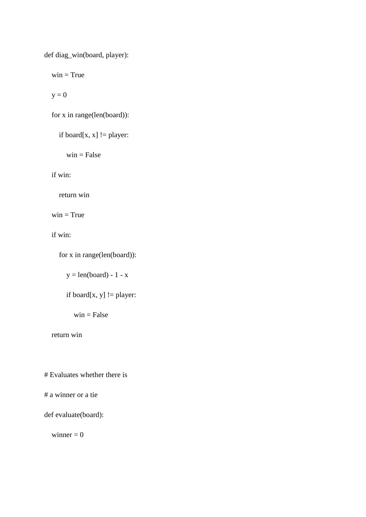def diag\_win(board, player):

 $win = True$ 

 $y = 0$ 

for x in range(len(board)):

if board $[x, x]$  != player:

 $win = False$ 

if win:

return win

 $win = True$ 

if win:

for x in range(len(board)):

 $y = len(board) - 1 - x$ 

if board $[x, y]$  != player:

 $win = False$ 

return win

# Evaluates whether there is

# a winner or a tie

def evaluate(board):

winner  $= 0$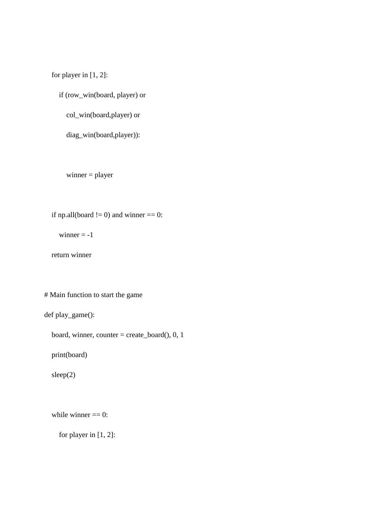for player in [1, 2]:

if (row\_win(board, player) or

col\_win(board,player) or

diag\_win(board,player)):

winner = player

if np.all(board  $!=$  0) and winner  $==$  0:

winner  $= -1$ 

return winner

# Main function to start the game

def play\_game():

board, winner, counter = create\_board(), 0, 1

print(board)

sleep(2)

while winner  $== 0$ :

for player in [1, 2]: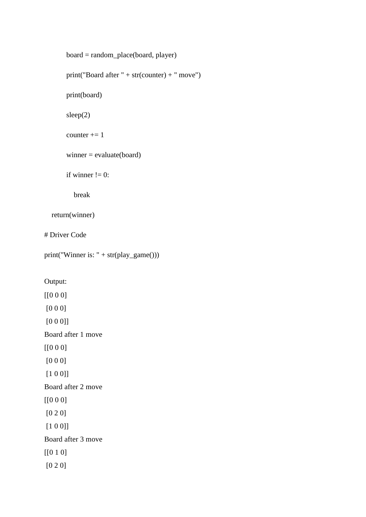```
 board = random_place(board, player)
        print("Board after " + str(counter) + " move")
        print(board)
        sleep(2)
       counter += 1 winner = evaluate(board)
       if winner != 0:
           break
   return(winner)
# Driver Code
print("Winner is: " + str(play_game()))
```
Output:

[[0 0 0] [0 0 0] [0 0 0]] Board after 1 move [[0 0 0] [0 0 0] [1 0 0]] Board after 2 move [[0 0 0] [0 2 0] [1 0 0]] Board after 3 move [[0 1 0] [0 2 0]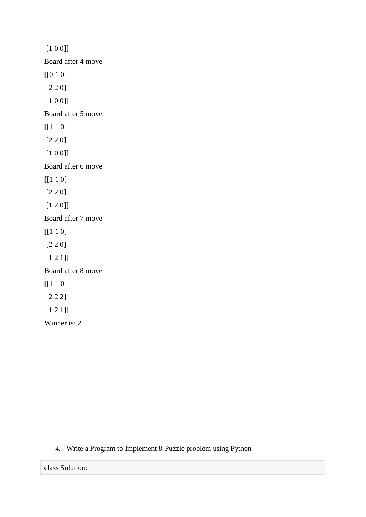[1 0 0]] Board after 4 move [[0 1 0] [2 2 0] [1 0 0]] Board after 5 move [[1 1 0] [2 2 0] [1 0 0]] Board after 6 move [[1 1 0] [2 2 0] [1 2 0]] Board after 7 move [[1 1 0] [2 2 0] [1 2 1]] Board after 8 move [[1 1 0] [2 2 2] [1 2 1]] Winner is: 2

## 4. Write a Program to Implement 8-Puzzle problem using Python

class Solution: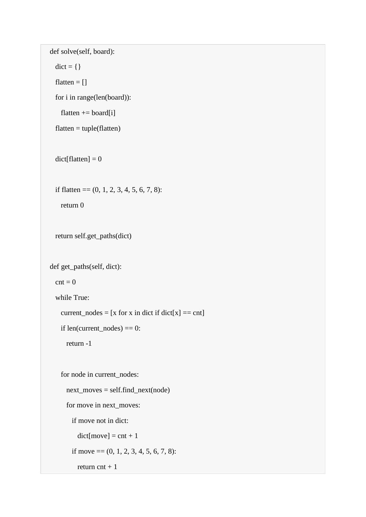```
def solve(self, board):
 dict = \{\}flatten = []for i in range(len(board)):
   flatten += board[i]
 flatten = tuple(flatent)dict[flatten] = 0if flatten == (0, 1, 2, 3, 4, 5, 6, 7, 8):
   return 0
 return self.get_paths(dict)
def get_paths(self, dict):
 \text{cnt} = 0while True:
    current_nodes = [x for x in dict if dict[x] == cnt]if len(current\_nodes) == 0:
     return -1
    for node in current_nodes:
      next_moves = self.find_next(node)
      for move in next_moves:
        if move not in dict:
          dict[move] = cnt + 1if move = (0, 1, 2, 3, 4, 5, 6, 7, 8):
         return \text{cnt} + 1
```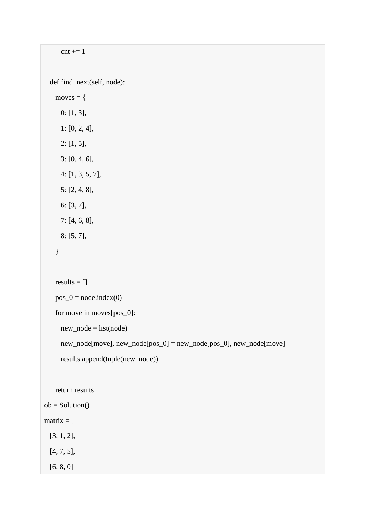```
cnt += 1def find_next(self, node):
   moves = \{0: [1, 3],
     1: [0, 2, 4],
     2: [1, 5],
     3: [0, 4, 6],
     4: [1, 3, 5, 7],
     5: [2, 4, 8],
     6: [3, 7],
     7: [4, 6, 8],
     8: [5, 7],
    }
   results = []
   pos_0 = node.index(0)for move in moves[pos_0]:
     new_node = list(node)
     new_node[move], new_node[pos_0] = new_node[pos_0], new_node[move]
     results.append(tuple(new_node))
   return results
ob = Solution()matrix = [[3, 1, 2],
 [4, 7, 5],
```
[6, 8, 0]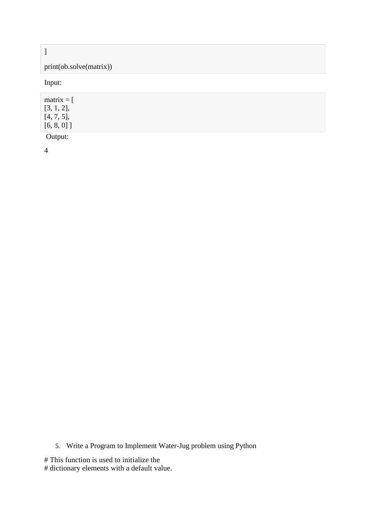## ]

# print(ob.solve(matrix))

Input:

| $matrix = [$  |  |  |  |
|---------------|--|--|--|
| [3, 1, 2],    |  |  |  |
| [4, 7, 5],    |  |  |  |
| $[6, 8, 0]$ ] |  |  |  |
| Output:       |  |  |  |

4

5. Write a Program to Implement Water-Jug problem using Python

# This function is used to initialize the

# dictionary elements with a default value.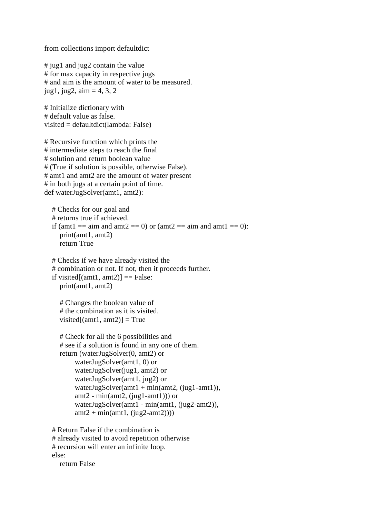from collections import defaultdict

 $\#$  jug1 and jug2 contain the value # for max capacity in respective jugs # and aim is the amount of water to be measured. jug1, jug2,  $\text{aim} = 4, 3, 2$ 

# Initialize dictionary with # default value as false. visited = defaultdict(lambda: False)

# Recursive function which prints the # intermediate steps to reach the final # solution and return boolean value # (True if solution is possible, otherwise False). # amt1 and amt2 are the amount of water present # in both jugs at a certain point of time. def waterJugSolver(amt1, amt2):

 # Checks for our goal and # returns true if achieved. if (amt1 = aim and amt2 = 0) or (amt2 = aim and amt1 = 0): print(amt1, amt2) return True

 # Checks if we have already visited the # combination or not. If not, then it proceeds further. if visited[ $(amt1, amt2)$ ] = False: print(amt1, amt2)

```
 # Changes the boolean value of
 # the combination as it is visited.
visited[(amt1, amt2)] = True
```

```
 # Check for all the 6 possibilities and
 # see if a solution is found in any one of them.
 return (waterJugSolver(0, amt2) or
      waterJugSolver(amt1, 0) or
      waterJugSolver(jug1, amt2) or
      waterJugSolver(amt1, jug2) or
     waterJugSolver(amt1 + min(amt2, (jug1-amt1)),
     amt2 - min(amt2, (jug1-amt1))) or
      waterJugSolver(amt1 - min(amt1, (jug2-amt2)),
     amt2 + min(amt1, (jug2-amt2))))
```
 # Return False if the combination is # already visited to avoid repetition otherwise # recursion will enter an infinite loop. else:

return False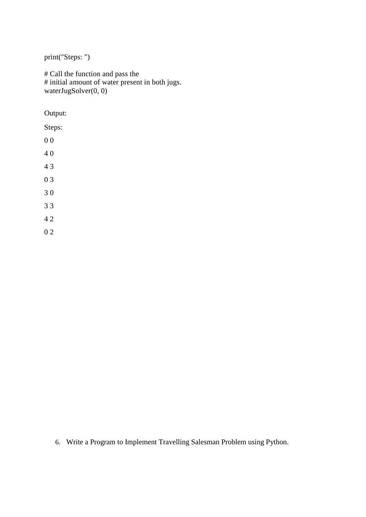print("Steps: ")

# Call the function and pass the # initial amount of water present in both jugs. waterJugSolver(0, 0)

Output:

Steps:

0 0

4 0

4 3

0 3

3 0

3 3

4 2

0 2

6. Write a Program to Implement Travelling Salesman Problem using Python.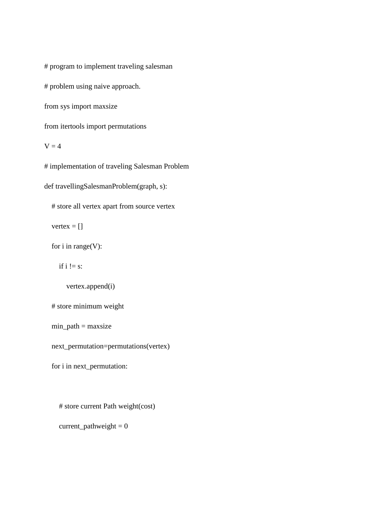# program to implement traveling salesman

# problem using naive approach.

from sys import maxsize

from itertools import permutations

 $V = 4$ 

# implementation of traveling Salesman Problem

def travellingSalesmanProblem(graph, s):

# store all vertex apart from source vertex

vertex  $=$  []

for i in range(V):

if  $i := s$ :

vertex.append(i)

# store minimum weight

 $min\_path = maxsize$ 

next\_permutation=permutations(vertex)

for i in next\_permutation:

# store current Path weight(cost)

current\_pathweight  $= 0$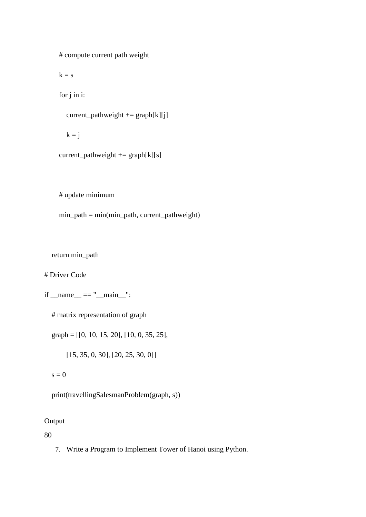# compute current path weight

 $k = s$ 

for j in i:

```
current_pathweight += graph[k][j]
```
 $k = j$ 

```
current_pathweight += graph[k][s]
```
# update minimum

min\_path = min(min\_path, current\_pathweight)

return min\_path

# Driver Code

 $if \_name__ == " \_main__":$ 

# matrix representation of graph

graph = [[0, 10, 15, 20], [10, 0, 35, 25],

[15, 35, 0, 30], [20, 25, 30, 0]]

 $s = 0$ 

print(travellingSalesmanProblem(graph, s))

## Output

80

7. Write a Program to Implement Tower of Hanoi using Python.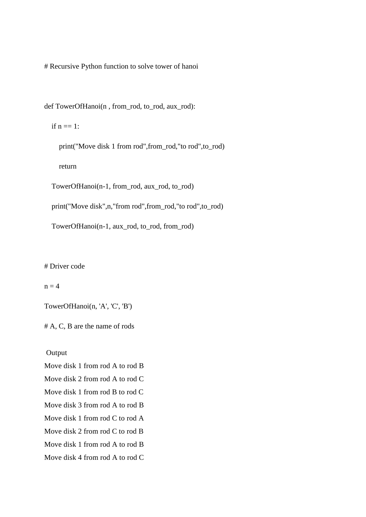# Recursive Python function to solve tower of hanoi

def TowerOfHanoi(n, from rod, to rod, aux rod):

if  $n == 1$ :

print("Move disk 1 from rod", from rod,"to rod", to rod)

return

TowerOfHanoi(n-1, from\_rod, aux\_rod, to\_rod)

print("Move disk",n,"from rod",from\_rod,"to rod",to\_rod)

TowerOfHanoi(n-1, aux\_rod, to\_rod, from\_rod)

# Driver code

 $n = 4$ 

TowerOfHanoi(n, 'A', 'C', 'B')

# A, C, B are the name of rods

Output

Move disk 1 from rod A to rod B

Move disk 2 from rod A to rod C

Move disk 1 from rod B to rod C

Move disk 3 from rod A to rod B

Move disk 1 from rod C to rod A

Move disk 2 from rod C to rod B

Move disk 1 from rod A to rod B

Move disk 4 from rod A to rod C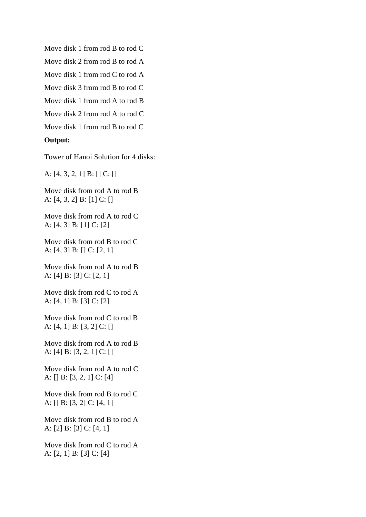Move disk 1 from rod B to rod C

Move disk 2 from rod B to rod A

Move disk 1 from rod C to rod A

Move disk 3 from rod B to rod C

Move disk 1 from rod A to rod B

Move disk 2 from rod A to rod C

Move disk 1 from rod B to rod C

#### **Output:**

Tower of Hanoi Solution for 4 disks:

A: [4, 3, 2, 1] B: [] C: []

Move disk from rod A to rod B A: [4, 3, 2] B: [1] C: []

Move disk from rod A to rod C A: [4, 3] B: [1] C: [2]

Move disk from rod B to rod C A: [4, 3] B: [] C: [2, 1]

Move disk from rod A to rod B A: [4] B: [3] C: [2, 1]

Move disk from rod C to rod A A: [4, 1] B: [3] C: [2]

Move disk from rod C to rod B A: [4, 1] B: [3, 2] C: []

Move disk from rod A to rod B A: [4] B: [3, 2, 1] C: []

Move disk from rod A to rod C A: [] B: [3, 2, 1] C: [4]

Move disk from rod B to rod C A: [] B: [3, 2] C: [4, 1]

Move disk from rod B to rod A A: [2] B: [3] C: [4, 1]

Move disk from rod C to rod A A: [2, 1] B: [3] C: [4]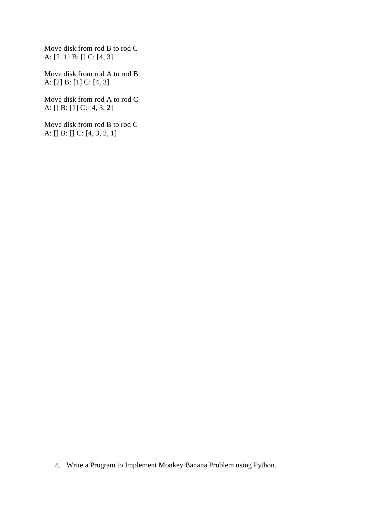Move disk from rod B to rod C A: [2, 1] B: [] C: [4, 3]

Move disk from rod A to rod B A: [2] B: [1] C: [4, 3]

Move disk from rod A to rod C A: [] B: [1] C: [4, 3, 2]

Move disk from rod B to rod C A: [] B: [] C: [4, 3, 2, 1]

8. Write a Program to Implement Monkey Banana Problem using Python.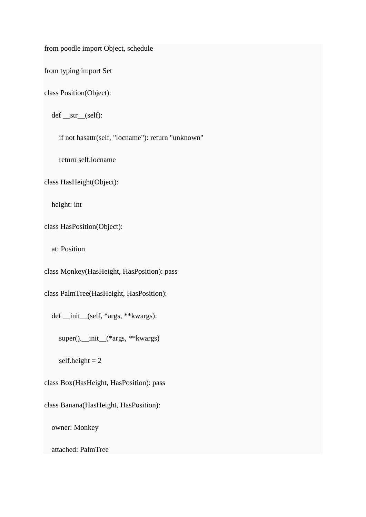from poodle import Object, schedule

from typing import Set

class Position(Object):

def \_\_str\_\_(self):

if not hasattr(self, "locname"): return "unknown"

return self.locname

class HasHeight(Object):

height: int

class HasPosition(Object):

at: Position

class Monkey(HasHeight, HasPosition): pass

class PalmTree(HasHeight, HasPosition):

def \_\_init\_\_(self, \*args, \*\*kwargs):

super().\_\_init\_\_(\*args, \*\*kwargs)

self.height  $= 2$ 

class Box(HasHeight, HasPosition): pass

class Banana(HasHeight, HasPosition):

owner: Monkey

attached: PalmTree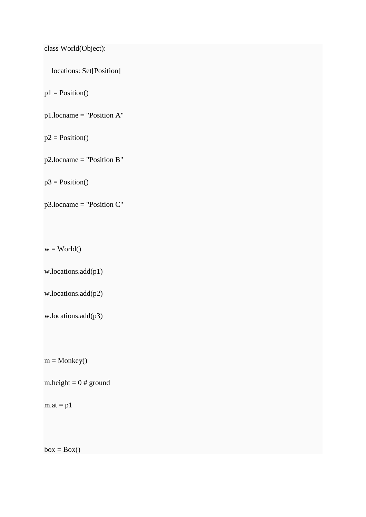```
class World(Object):
```

```
 locations: Set[Position]
```
 $p1 = Position()$ 

p1.locname = "Position A"

 $p2 = Position()$ 

p2.locname = "Position B"

 $p3 = Position()$ 

p3.locname = "Position C"

 $w = World()$ 

w.locations.add(p1)

w.locations.add(p2)

w.locations.add(p3)

 $m = \text{Monkey}()$ 

m.height =  $0$  # ground

 $m.at = p1$ 

 $box = Box()$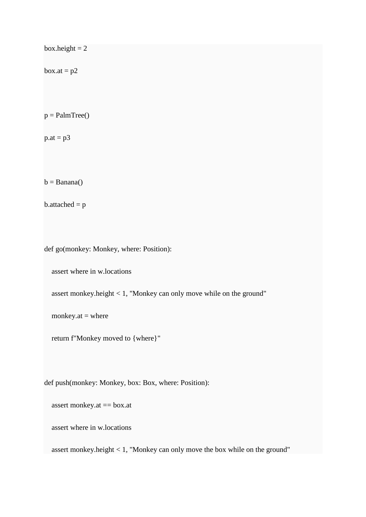```
box.height = 2box.at = p2p =PalmTree()
p.at = p3b = Banana()b.attached = pdef go(monkey: Monkey, where: Position):
   assert where in w.locations
   assert monkey.height < 1, "Monkey can only move while on the ground"
  monkey.at = where
   return f"Monkey moved to {where}"
def push(monkey: Monkey, box: Box, where: Position):
   assert monkey.at == box.at
   assert where in w.locations
   assert monkey.height < 1, "Monkey can only move the box while on the ground"
```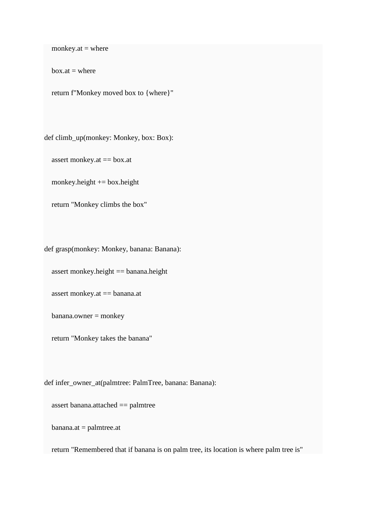monkey.at  $=$  where

 $box.at = where$ 

return f"Monkey moved box to {where}"

def climb\_up(monkey: Monkey, box: Box):

assert monkey.at == box.at

monkey.height  $+=$  box.height

return "Monkey climbs the box"

def grasp(monkey: Monkey, banana: Banana):

assert monkey.height == banana.height

assert monkey.at == banana.at

banana.owner = monkey

return "Monkey takes the banana"

def infer\_owner\_at(palmtree: PalmTree, banana: Banana):

assert banana.attached == palmtree

banana.at = palmtree.at

return "Remembered that if banana is on palm tree, its location is where palm tree is"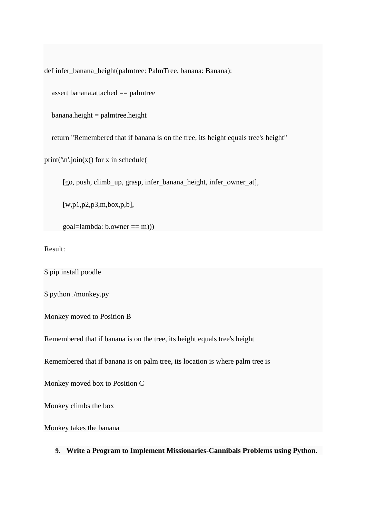def infer\_banana\_height(palmtree: PalmTree, banana: Banana):

assert banana.attached == palmtree

banana.height = palmtree.height

return "Remembered that if banana is on the tree, its height equals tree's height"

print( $\infty$ : join(x() for x in schedule(

[go, push, climb\_up, grasp, infer\_banana\_height, infer\_owner\_at],

[w,p1,p2,p3,m,box,p,b],

 $goal=lambda: b. owner == m))$ 

Result:

\$ pip install poodle

\$ python ./monkey.py

Monkey moved to Position B

Remembered that if banana is on the tree, its height equals tree's height

Remembered that if banana is on palm tree, its location is where palm tree is

Monkey moved box to Position C

Monkey climbs the box

Monkey takes the banana

**9. Write a Program to Implement Missionaries-Cannibals Problems using Python.**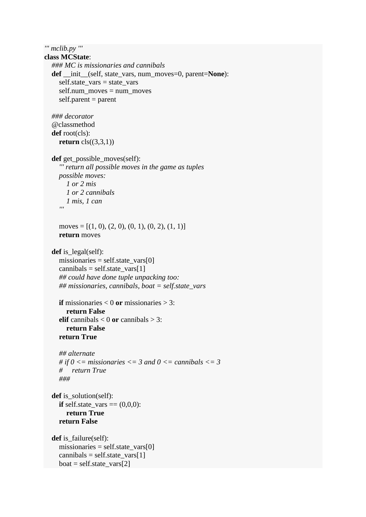*''' mclib.py '''*

```
class MCState:
   ### MC is missionaries and cannibals
   def __init__(self, state_vars, num_moves=0, parent=None):
     self.state_vars = state_vars
    self.num_moves = num moves
    self.parent = parent ### decorator
   @classmethod
   def root(cls):
    return cls((3,3,1)) def get_possible_moves(self):
      ''' return all possible moves in the game as tuples
     possible moves:
```

```
 1 or 2 mis
       1 or 2 cannibals
 1 mis, 1 can
 '''
```

```
moves = [(1, 0), (2, 0), (0, 1), (0, 2), (1, 1)] return moves
```

```
def is legal(self):
  missionaries = self.state_vars[0]cannibals = self.state_vars[1] ## could have done tuple unpacking too:
   ## missionaries, cannibals, boat = self.state_vars
```

```
if missionaries < 0 or missionaries > 3:
   return False
elif cannibals < 0 or cannibals > 3:
   return False
 return True
```

```
 ## alternate
# if 0 \le missionaries \le = 3 and 0 \le cannibals \le = 3
 # return True
 ###
```

```
def is solution(self):
  if self.state_vars = (0,0,0):
      return True
   return False
```

```
def is failure(self):
  missionaries = self.state_vars[0]
  cannibals = self.state_vars[1]boat = self.state\_vars[2]
```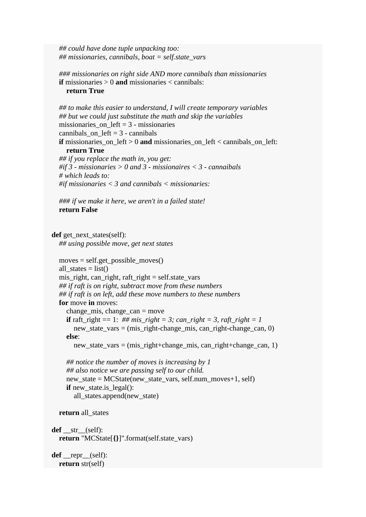*## could have done tuple unpacking too: ## missionaries, cannibals, boat = self.state\_vars*

 *### missionaries on right side AND more cannibals than missionaries* **if** missionaries > 0 **and** missionaries < cannibals: **return True**

```
 ## to make this easier to understand, I will create temporary variables
   ## but we could just substitute the math and skip the variables 
  missionaries on left = 3 - missionaries
  cannibals on left = 3 - cannibals
   if missionaries_on_left > 0 and missionaries_on_left < cannibals_on_left:
      return True
   ## if you replace the math in, you get:
   #if 3 - missionaries > 0 and 3 - missionaires < 3 - cannaibals
   # which leads to:
   #if missionaries < 3 and cannibals < missionaries:
   ### if we make it here, we aren't in a failed state!
   return False
def get next states(self):
   ## using possible move, get next states
  moves = self.get\_possible\_moves()all states = list()
   mis_right, can_right, raft_right = self.state_vars
   ## if raft is on right, subtract move from these numbers
   ## if raft is on left, add these move numbers to these numbers
   for move in moves:
      change_mis, change_can = move
     if raft_right == 1: ## mis_right = 3; can_right = 3, raft_right = 1
       new_state_vars = (mis\_right-change\_mis, can\_right-change\_can, 0) else:
        new_state_vars = (mis_right+change_mis, can_right+change_can, 1)
      ## notice the number of moves is increasing by 1
      ## also notice we are passing self to our child.
      new_state = MCState(new_state_vars, self.num_moves+1, self)
     if new state.is legal():
       all states.append(new state)
   return all_states
 def __str__(self):
   return "MCState[{}]".format(self.state_vars)
```
 **def** \_\_repr\_\_(self): **return** str(self)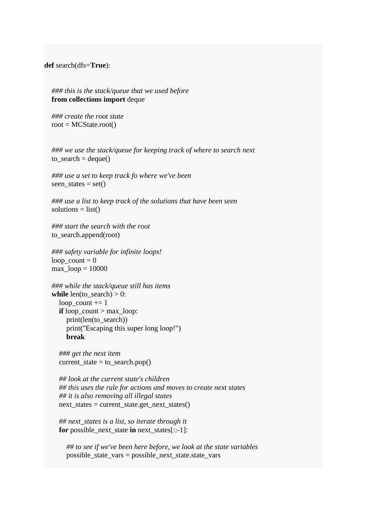**def** search(dfs=**True**):

 *### this is the stack/queue that we used before* **from collections import** deque

 *### create the root state*  $root = MCState(root()$ 

 *### we use the stack/queue for keeping track of where to search next* to  $search = deque()$ 

 *### use a set to keep track fo where we've been* seen states = set()

 *### use a list to keep track of the solutions that have been seen* solutions  $=$  list()

 *### start the search with the root* to\_search.append(root)

 *### safety variable for infinite loops!*  $loop\_count = 0$  $max\_loop = 10000$ 

```
 ### while the stack/queue still has items
while len(to search) > 0:
  loop count += 1if loop_count > max loop:
      print(len(to_search))
      print("Escaping this super long loop!")
      break
```
 *### get the next item* current state = to search.pop()

 *## look at the current state's children ## this uses the rule for actions and moves to create next states ## it is also removing all illegal states* next\_states = current\_state.get\_next\_states()

 *## next\_states is a list, so iterate through it* **for** possible\_next\_state **in** next\_states[::-1]:

 *## to see if we've been here before, we look at the state variables* possible\_state\_vars = possible\_next\_state.state\_vars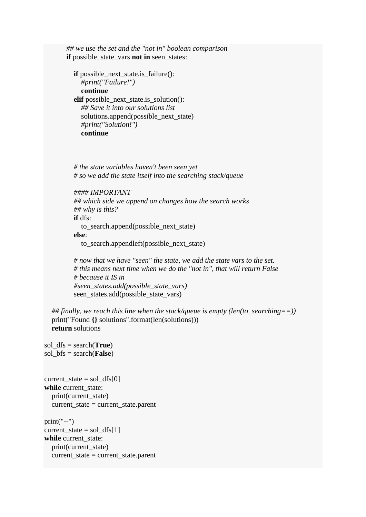*## we use the set and the "not in" boolean comparison*  **if** possible\_state\_vars **not in** seen\_states:

 **if** possible\_next\_state.is\_failure(): *#print("Failure!")* **continue elif** possible next state.is solution(): *## Save it into our solutions list*  solutions.append(possible\_next\_state) *#print("Solution!")* **continue**

 *# the state variables haven't been seen yet # so we add the state itself into the searching stack/queue*

*#### IMPORTANT*

 *## which side we append on changes how the search works ## why is this?*

**if** dfs:

 to\_search.append(possible\_next\_state) **else**:

to\_search.appendleft(possible\_next\_state)

 *# now that we have "seen" the state, we add the state vars to the set. # this means next time when we do the "not in", that will return False # because it IS in #seen\_states.add(possible\_state\_vars)* seen\_states.add(possible\_state\_vars)

 *## finally, we reach this line when the stack/queue is empty (len(to\_searching==))* print("Found **{}** solutions".format(len(solutions))) **return** solutions

```
sol_dfs = search(True)
sol_bfs = search(False)
```

```
current\_state = sol\_dfs[0]while current_state:
   print(current_state)
   current_state = current_state.parent
```
print("--")  $current\_state = sol\_dfs[1]$ **while** current\_state: print(current\_state) current\_state = current\_state.parent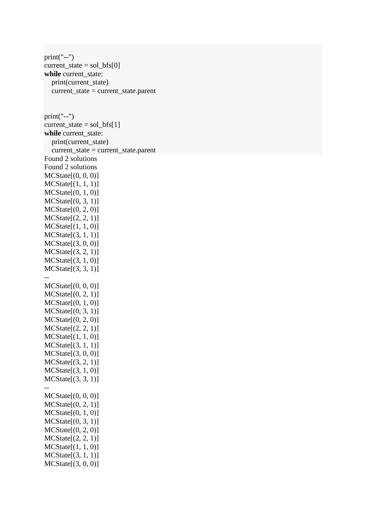print("--") current state = sol  $bf[0]$ **while** current\_state: print(current\_state) current\_state = current\_state.parent  $print("--")$ current\_state =  $sol_bfs[1]$ **while** current\_state: print(current\_state) current\_state = current\_state.parent Found 2 solutions Found 2 solutions MCState[(0, 0, 0)]  $MCState[(1, 1, 1)]$ MCState[(0, 1, 0)] MCState[(0, 3, 1)] MCState[(0, 2, 0)] MCState[(2, 2, 1)] MCState[(1, 1, 0)] MCState[(3, 1, 1)] MCState[(3, 0, 0)] MCState[(3, 2, 1)] MCState[(3, 1, 0)] MCState[(3, 3, 1)] -- MCState[(0, 0, 0)] MCState[(0, 2, 1)] MCState[(0, 1, 0)]  $MCState[(0, 3, 1)]$  $MCState[(0, 2, 0)]$ MCState[(2, 2, 1)]  $MCState[(1, 1, 0)]$ MCState[(3, 1, 1)] MCState[(3, 0, 0)] MCState[(3, 2, 1)] MCState[(3, 1, 0)]  $MCState[(3, 3, 1)]$ -- MCState[(0, 0, 0)]  $MCState[(0, 2, 1)]$ MCState[(0, 1, 0)] MCState[(0, 3, 1)]  $MCState[(0, 2, 0)]$ MCState[(2, 2, 1)] MCState[(1, 1, 0)] MCState[(3, 1, 1)] MCState[(3, 0, 0)]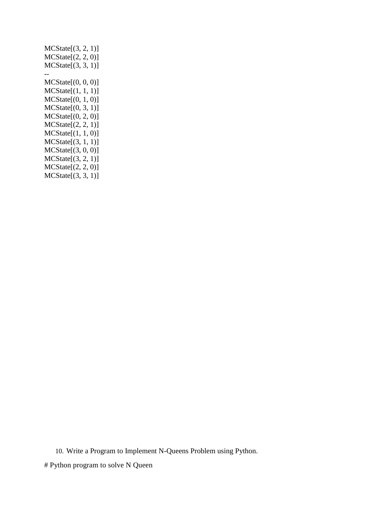MCState[(3, 2, 1)] MCState[(2, 2, 0)]  $MCState[(3, 3, 1)]$ -- MCState[(0, 0, 0)] MCState[(1, 1, 1)] MCState[(0, 1, 0)] MCState[(0, 3, 1)] MCState[(0, 2, 0)] MCState[(2, 2, 1)] MCState[(1, 1, 0)] MCState[(3, 1, 1)] MCState[(3, 0, 0)] MCState[(3, 2, 1)] MCState[(2, 2, 0)] MCState[(3, 3, 1)]

10. Write a Program to Implement N-Queens Problem using Python.

# Python program to solve N Queen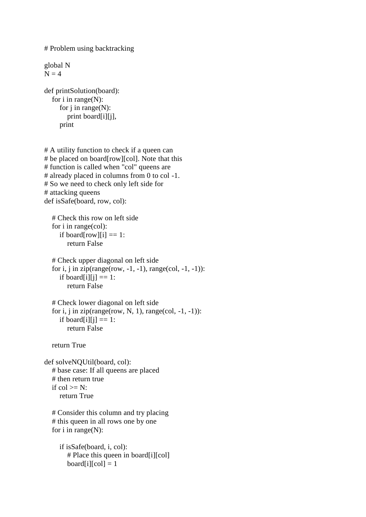```
# Problem using backtracking
global N
N = 4def printSolution(board):
  for i in range(N):
     for j in range(N):
         print board[i][j],
      print
# A utility function to check if a queen can
# be placed on board[row][col]. Note that this
# function is called when "col" queens are
# already placed in columns from 0 to col -1.
# So we need to check only left side for
# attacking queens
def isSafe(board, row, col):
   # Check this row on left side
   for i in range(col):
     if board[row][i] == 1:
        return False
   # Check upper diagonal on left side
  for i, j in zip(range(row, -1, -1), range(col, -1, -1)):
     if board[i][j] == 1:
        return False
   # Check lower diagonal on left side
  for i, j in zip(range(row, N, 1), range(col, -1, -1)):
     if board[i][j] == 1:
         return False
   return True
def solveNQUtil(board, col):
   # base case: If all queens are placed
   # then return true
  if col \ge N:
      return True
   # Consider this column and try placing
   # this queen in all rows one by one
  for i in range(N):
      if isSafe(board, i, col):
         # Place this queen in board[i][col]
        board[i][col] = 1
```